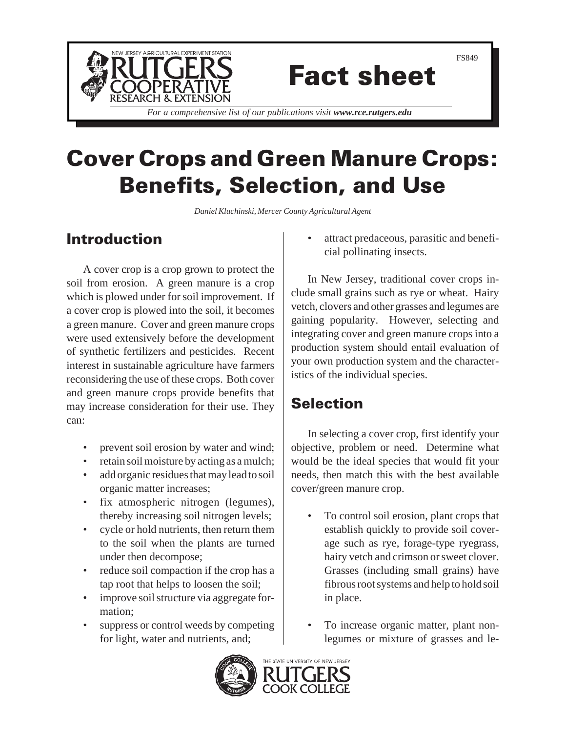

# Fact sheet

*For a comprehensive list of our publications visit www.rce.rutgers.edu*

## Cover Crops and Green Manure Crops: Benefits, Selection, and Use

*Daniel Kluchinski, Mercer County Agricultural Agent*

## Introduction

A cover crop is a crop grown to protect the soil from erosion. A green manure is a crop which is plowed under for soil improvement. If a cover crop is plowed into the soil, it becomes a green manure. Cover and green manure crops were used extensively before the development of synthetic fertilizers and pesticides. Recent interest in sustainable agriculture have farmers reconsidering the use of these crops. Both cover and green manure crops provide benefits that may increase consideration for their use. They can:

- prevent soil erosion by water and wind;
- retain soil moisture by acting as a mulch;
- add organic residues that may lead to soil organic matter increases;
- fix atmospheric nitrogen (legumes), thereby increasing soil nitrogen levels;
- cycle or hold nutrients, then return them to the soil when the plants are turned under then decompose;
- reduce soil compaction if the crop has a tap root that helps to loosen the soil;
- improve soil structure via aggregate formation;
- suppress or control weeds by competing for light, water and nutrients, and;

• attract predaceous, parasitic and beneficial pollinating insects.

In New Jersey, traditional cover crops include small grains such as rye or wheat. Hairy vetch, clovers and other grasses and legumes are gaining popularity. However, selecting and integrating cover and green manure crops into a production system should entail evaluation of your own production system and the characteristics of the individual species.

## **Selection**

In selecting a cover crop, first identify your objective, problem or need. Determine what would be the ideal species that would fit your needs, then match this with the best available cover/green manure crop.

- To control soil erosion, plant crops that establish quickly to provide soil coverage such as rye, forage-type ryegrass, hairy vetch and crimson or sweet clover. Grasses (including small grains) have fibrous root systems and help to hold soil in place.
- To increase organic matter, plant nonlegumes or mixture of grasses and le-

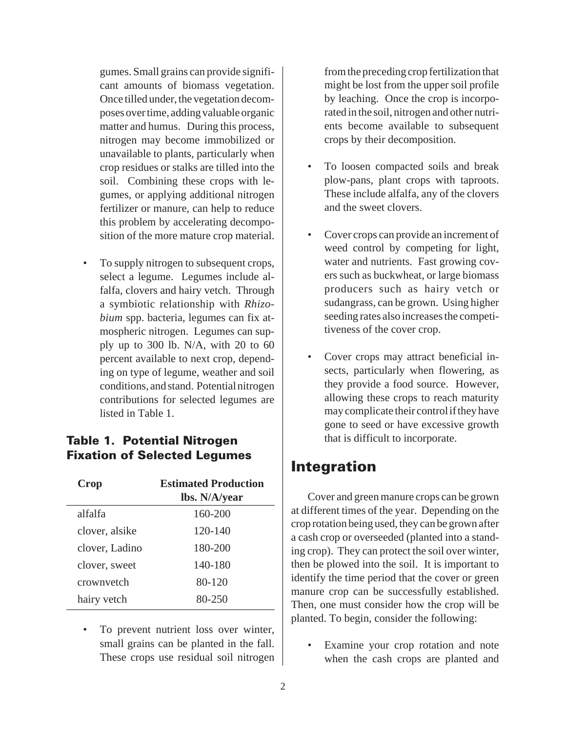gumes. Small grains can provide significant amounts of biomass vegetation. Once tilled under, the vegetation decomposes over time, adding valuable organic matter and humus. During this process, nitrogen may become immobilized or unavailable to plants, particularly when crop residues or stalks are tilled into the soil. Combining these crops with legumes, or applying additional nitrogen fertilizer or manure, can help to reduce this problem by accelerating decomposition of the more mature crop material.

• To supply nitrogen to subsequent crops, select a legume. Legumes include alfalfa, clovers and hairy vetch. Through a symbiotic relationship with *Rhizobium* spp. bacteria, legumes can fix atmospheric nitrogen. Legumes can supply up to 300 lb. N/A, with 20 to 60 percent available to next crop, depending on type of legume, weather and soil conditions, and stand. Potential nitrogen contributions for selected legumes are listed in Table 1.

#### Table 1. Potential Nitrogen Fixation of Selected Legumes

| Crop           | <b>Estimated Production</b><br>lbs. N/A/year |
|----------------|----------------------------------------------|
| alfalfa        | 160-200                                      |
| clover, alsike | 120-140                                      |
| clover, Ladino | 180-200                                      |
| clover, sweet  | 140-180                                      |
| crownyetch     | 80-120                                       |
| hairy vetch    | 80-250                                       |

To prevent nutrient loss over winter, small grains can be planted in the fall. These crops use residual soil nitrogen from the preceding crop fertilization that might be lost from the upper soil profile by leaching. Once the crop is incorporated in the soil, nitrogen and other nutrients become available to subsequent crops by their decomposition.

- To loosen compacted soils and break plow-pans, plant crops with taproots. These include alfalfa, any of the clovers and the sweet clovers.
- Cover crops can provide an increment of weed control by competing for light, water and nutrients. Fast growing covers such as buckwheat, or large biomass producers such as hairy vetch or sudangrass, can be grown. Using higher seeding rates also increases the competitiveness of the cover crop.
- Cover crops may attract beneficial insects, particularly when flowering, as they provide a food source. However, allowing these crops to reach maturity may complicate their control if they have gone to seed or have excessive growth that is difficult to incorporate.

### Integration

Cover and green manure crops can be grown at different times of the year. Depending on the crop rotation being used, they can be grown after a cash crop or overseeded (planted into a standing crop). They can protect the soil over winter, then be plowed into the soil. It is important to identify the time period that the cover or green manure crop can be successfully established. Then, one must consider how the crop will be planted. To begin, consider the following:

Examine your crop rotation and note when the cash crops are planted and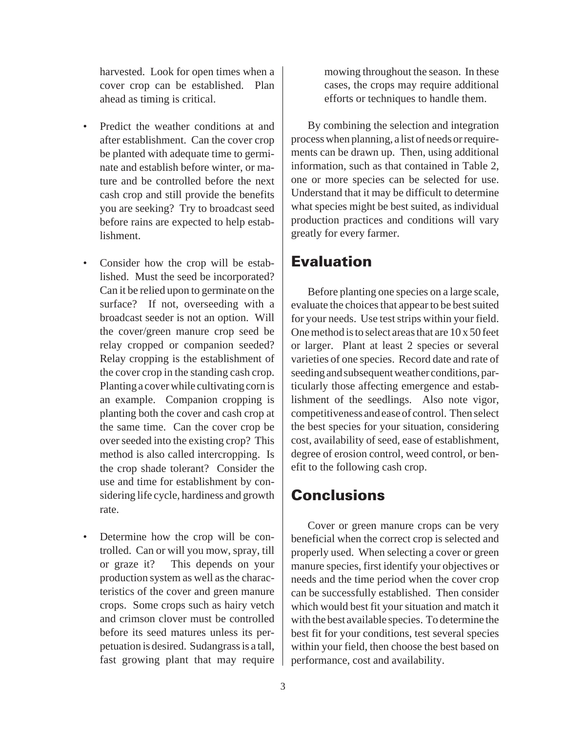harvested. Look for open times when a cover crop can be established. Plan ahead as timing is critical.

- Predict the weather conditions at and after establishment. Can the cover crop be planted with adequate time to germinate and establish before winter, or mature and be controlled before the next cash crop and still provide the benefits you are seeking? Try to broadcast seed before rains are expected to help establishment.
- Consider how the crop will be established. Must the seed be incorporated? Can it be relied upon to germinate on the surface? If not, overseeding with a broadcast seeder is not an option. Will the cover/green manure crop seed be relay cropped or companion seeded? Relay cropping is the establishment of the cover crop in the standing cash crop. Planting a cover while cultivating corn is an example. Companion cropping is planting both the cover and cash crop at the same time. Can the cover crop be over seeded into the existing crop? This method is also called intercropping. Is the crop shade tolerant? Consider the use and time for establishment by considering life cycle, hardiness and growth rate.
- Determine how the crop will be controlled. Can or will you mow, spray, till or graze it? This depends on your production system as well as the characteristics of the cover and green manure crops. Some crops such as hairy vetch and crimson clover must be controlled before its seed matures unless its perpetuation is desired. Sudangrass is a tall, fast growing plant that may require

mowing throughout the season. In these cases, the crops may require additional efforts or techniques to handle them.

By combining the selection and integration process when planning, a list of needs or requirements can be drawn up. Then, using additional information, such as that contained in Table 2, one or more species can be selected for use. Understand that it may be difficult to determine what species might be best suited, as individual production practices and conditions will vary greatly for every farmer.

## Evaluation

Before planting one species on a large scale, evaluate the choices that appear to be best suited for your needs. Use test strips within your field. One method is to select areas that are 10 x 50 feet or larger. Plant at least 2 species or several varieties of one species. Record date and rate of seeding and subsequent weather conditions, particularly those affecting emergence and establishment of the seedlings. Also note vigor, competitiveness and ease of control. Then select the best species for your situation, considering cost, availability of seed, ease of establishment, degree of erosion control, weed control, or benefit to the following cash crop.

## Conclusions

Cover or green manure crops can be very beneficial when the correct crop is selected and properly used. When selecting a cover or green manure species, first identify your objectives or needs and the time period when the cover crop can be successfully established. Then consider which would best fit your situation and match it with the best available species. To determine the best fit for your conditions, test several species within your field, then choose the best based on performance, cost and availability.